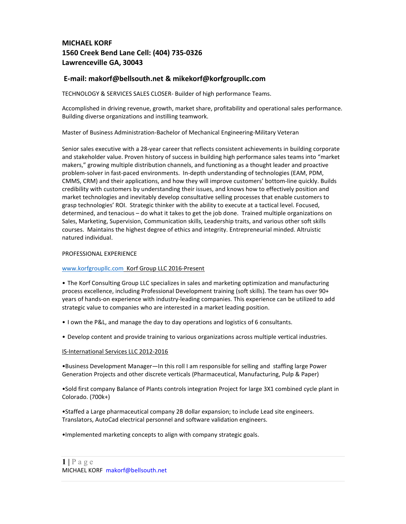# MICHAEL KORF 1560 Creek Bend Lane Cell: (404) 735-0326 Lawrenceville GA, 30043

## E-mail: makorf@bellsouth.net & mikekorf@korfgroupllc.com

TECHNOLOGY & SERVICES SALES CLOSER- Builder of high performance Teams.

Accomplished in driving revenue, growth, market share, profitability and operational sales performance. Building diverse organizations and instilling teamwork.

Master of Business Administration-Bachelor of Mechanical Engineering-Military Veteran

Senior sales executive with a 28-year career that reflects consistent achievements in building corporate and stakeholder value. Proven history of success in building high performance sales teams into "market makers," growing multiple distribution channels, and functioning as a thought leader and proactive problem-solver in fast-paced environments. In-depth understanding of technologies (EAM, PDM, CMMS, CRM) and their applications, and how they will improve customers' bottom-line quickly. Builds credibility with customers by understanding their issues, and knows how to effectively position and market technologies and inevitably develop consultative selling processes that enable customers to grasp technologies' ROI. Strategic thinker with the ability to execute at a tactical level. Focused, determined, and tenacious – do what it takes to get the job done. Trained multiple organizations on Sales, Marketing, Supervision, Communication skills, Leadership traits, and various other soft skills courses. Maintains the highest degree of ethics and integrity. Entrepreneurial minded. Altruistic natured individual.

#### PROFESSIONAL EXPERIENCE

### www.korfgroupllc.com Korf Group LLC 2016-Present

• The Korf Consulting Group LLC specializes in sales and marketing optimization and manufacturing process excellence, including Professional Development training (soft skills). The team has over 90+ years of hands-on experience with industry-leading companies. This experience can be utilized to add strategic value to companies who are interested in a market leading position.

- I own the P&L, and manage the day to day operations and logistics of 6 consultants.
- Develop content and provide training to various organizations across multiple vertical industries.

#### IS-International Services LLC 2012-2016

•Business Development Manager—In this roll I am responsible for selling and staffing large Power Generation Projects and other discrete verticals (Pharmaceutical, Manufacturing, Pulp & Paper)

•Sold first company Balance of Plants controls integration Project for large 3X1 combined cycle plant in Colorado. (700k+)

•Staffed a Large pharmaceutical company 2B dollar expansion; to include Lead site engineers. Translators, AutoCad electrical personnel and software validation engineers.

•Implemented marketing concepts to align with company strategic goals.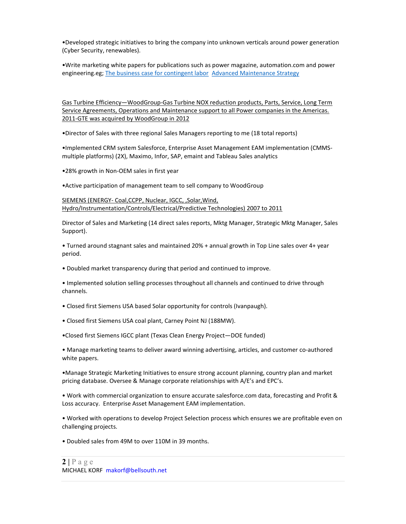•Developed strategic initiatives to bring the company into unknown verticals around power generation (Cyber Security, renewables).

•Write marketing white papers for publications such as power magazine, automation.com and power engineering.eg; The business case for contingent labor Advanced Maintenance Strategy

Gas Turbine Efficiency—WoodGroup-Gas Turbine NOX reduction products, Parts, Service, Long Term Service Agreements, Operations and Maintenance support to all Power companies in the Americas. 2011-GTE was acquired by WoodGroup in 2012

•Director of Sales with three regional Sales Managers reporting to me (18 total reports)

•Implemented CRM system Salesforce, Enterprise Asset Management EAM implementation (CMMSmultiple platforms) (2X), Maximo, Infor, SAP, emaint and Tableau Sales analytics

•28% growth in Non-OEM sales in first year

•Active participation of management team to sell company to WoodGroup

SIEMENS (ENERGY- Coal,CCPP, Nuclear, IGCC, ,Solar,Wind, Hydro/Instrumentation/Controls/Electrical/Predictive Technologies) 2007 to 2011

Director of Sales and Marketing (14 direct sales reports, Mktg Manager, Strategic Mktg Manager, Sales Support).

• Turned around stagnant sales and maintained 20% + annual growth in Top Line sales over 4+ year period.

• Doubled market transparency during that period and continued to improve.

• Implemented solution selling processes throughout all channels and continued to drive through channels.

• Closed first Siemens USA based Solar opportunity for controls (Ivanpaugh).

• Closed first Siemens USA coal plant, Carney Point NJ (188MW).

•Closed first Siemens IGCC plant (Texas Clean Energy Project—DOE funded)

• Manage marketing teams to deliver award winning advertising, articles, and customer co-authored white papers.

•Manage Strategic Marketing Initiatives to ensure strong account planning, country plan and market pricing database. Oversee & Manage corporate relationships with A/E's and EPC's.

• Work with commercial organization to ensure accurate salesforce.com data, forecasting and Profit & Loss accuracy. Enterprise Asset Management EAM implementation.

• Worked with operations to develop Project Selection process which ensures we are profitable even on challenging projects.

• Doubled sales from 49M to over 110M in 39 months.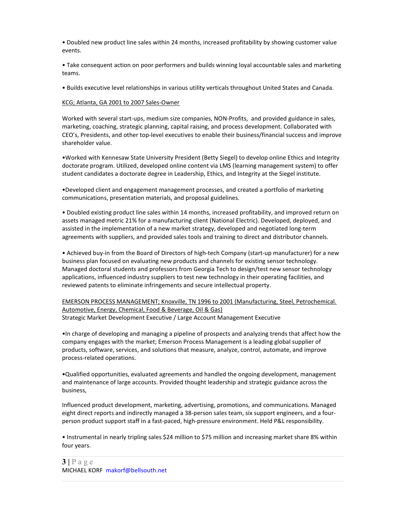• Doubled new product line sales within 24 months, increased profitability by showing customer value events.

• Take consequent action on poor performers and builds winning loyal accountable sales and marketing teams.

• Builds executive level relationships in various utility verticals throughout United States and Canada.

## KCG; Atlanta, GA 2001 to 2007 Sales-Owner

Worked with several start-ups, medium size companies, NON-Profits, and provided guidance in sales, marketing, coaching, strategic planning, capital raising, and process development. Collaborated with CEO's, Presidents, and other top-level executives to enable their business/financial success and improve shareholder value.

•Worked with Kennesaw State University President (Betty Siegel) to develop online Ethics and Integrity doctorate program. Utilized, developed online content via LMS (learning management system) to offer student candidates a doctorate degree in Leadership, Ethics, and Integrity at the Siegel institute.

•Developed client and engagement management processes, and created a portfolio of marketing communications, presentation materials, and proposal guidelines.

• Doubled existing product line sales within 14 months, increased profitability, and improved return on assets managed metric 21% for a manufacturing client (National Electric). Developed, deployed, and assisted in the implementation of a new market strategy, developed and negotiated long-term agreements with suppliers, and provided sales tools and training to direct and distributor channels.

• Achieved buy-in from the Board of Directors of high-tech Company (start-up manufacturer) for a new business plan focused on evaluating new products and channels for existing sensor technology. Managed doctoral students and professors from Georgia Tech to design/test new sensor technology applications, influenced industry suppliers to test new technology in their operating facilities, and reviewed patents to eliminate infringements and secure intellectual property.

EMERSON PROCESS MANAGEMENT; Knoxville, TN 1996 to 2001 (Manufacturing, Steel, Petrochemical. Automotive, Energy, Chemical, Food & Beverage, Oil & Gas) Strategic Market Development Executive / Large Account Management Executive

•In charge of developing and managing a pipeline of prospects and analyzing trends that affect how the company engages with the market; Emerson Process Management is a leading global supplier of products, software, services, and solutions that measure, analyze, control, automate, and improve process-related operations.

•Qualified opportunities, evaluated agreements and handled the ongoing development, management and maintenance of large accounts. Provided thought leadership and strategic guidance across the business,

Influenced product development, marketing, advertising, promotions, and communications. Managed eight direct reports and indirectly managed a 38-person sales team, six support engineers, and a fourperson product support staff in a fast-paced, high-pressure environment. Held P&L responsibility.

• Instrumental in nearly tripling sales \$24 million to \$75 million and increasing market share 8% within four years.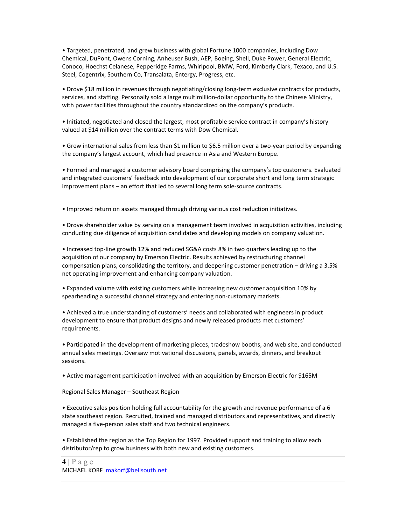• Targeted, penetrated, and grew business with global Fortune 1000 companies, including Dow Chemical, DuPont, Owens Corning, Anheuser Bush, AEP, Boeing, Shell, Duke Power, General Electric, Conoco, Hoechst Celanese, Pepperidge Farms, Whirlpool, BMW, Ford, Kimberly Clark, Texaco, and U.S. Steel, Cogentrix, Southern Co, Transalata, Entergy, Progress, etc.

• Drove \$18 million in revenues through negotiating/closing long-term exclusive contracts for products, services, and staffing. Personally sold a large multimillion-dollar opportunity to the Chinese Ministry, with power facilities throughout the country standardized on the company's products.

• Initiated, negotiated and closed the largest, most profitable service contract in company's history valued at \$14 million over the contract terms with Dow Chemical.

• Grew international sales from less than \$1 million to \$6.5 million over a two-year period by expanding the company's largest account, which had presence in Asia and Western Europe.

• Formed and managed a customer advisory board comprising the company's top customers. Evaluated and integrated customers' feedback into development of our corporate short and long term strategic improvement plans – an effort that led to several long term sole-source contracts.

• Improved return on assets managed through driving various cost reduction initiatives.

• Drove shareholder value by serving on a management team involved in acquisition activities, including conducting due diligence of acquisition candidates and developing models on company valuation.

• Increased top-line growth 12% and reduced SG&A costs 8% in two quarters leading up to the acquisition of our company by Emerson Electric. Results achieved by restructuring channel compensation plans, consolidating the territory, and deepening customer penetration – driving a 3.5% net operating improvement and enhancing company valuation.

• Expanded volume with existing customers while increasing new customer acquisition 10% by spearheading a successful channel strategy and entering non-customary markets.

• Achieved a true understanding of customers' needs and collaborated with engineers in product development to ensure that product designs and newly released products met customers' requirements.

• Participated in the development of marketing pieces, tradeshow booths, and web site, and conducted annual sales meetings. Oversaw motivational discussions, panels, awards, dinners, and breakout sessions.

• Active management participation involved with an acquisition by Emerson Electric for \$165M

#### Regional Sales Manager – Southeast Region

• Executive sales position holding full accountability for the growth and revenue performance of a 6 state southeast region. Recruited, trained and managed distributors and representatives, and directly managed a five-person sales staff and two technical engineers.

• Established the region as the Top Region for 1997. Provided support and training to allow each distributor/rep to grow business with both new and existing customers.